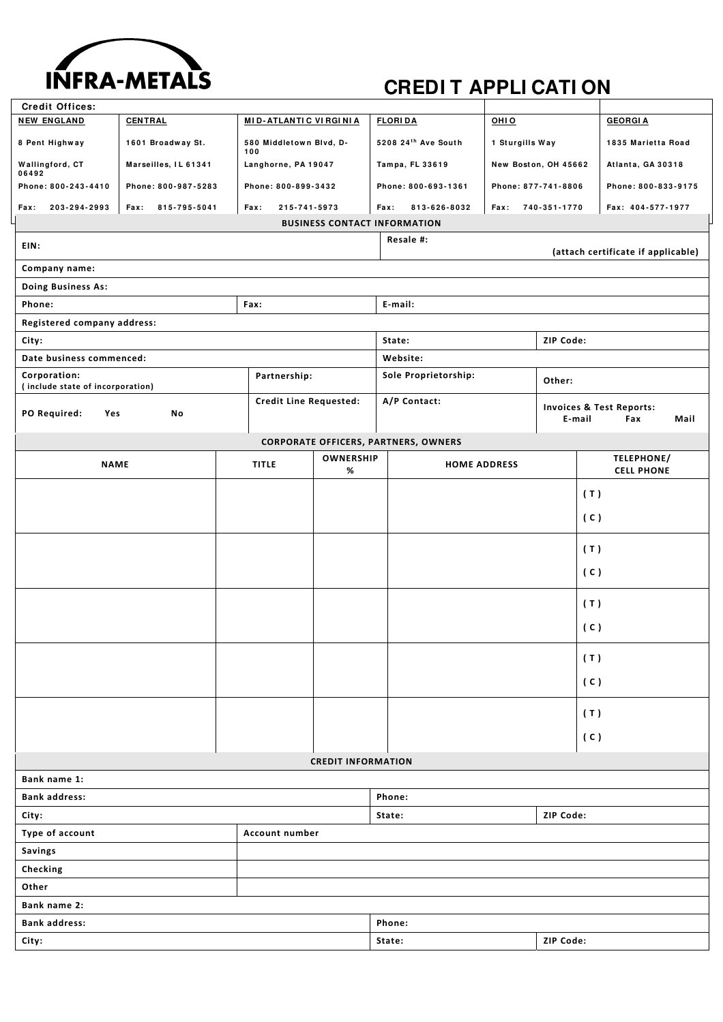

## **CREDIT APPLI CATI ON**

| <b>Credit Offices:</b>                                  |                      |  |                                |                           |                                             |                      |                                                              |                     |  |
|---------------------------------------------------------|----------------------|--|--------------------------------|---------------------------|---------------------------------------------|----------------------|--------------------------------------------------------------|---------------------|--|
| <b>NEW ENGLAND</b>                                      | <b>CENTRAL</b>       |  | <b>MID-ATLANTIC VIRGINIA</b>   |                           | <b>FLORIDA</b>                              | OHIO                 |                                                              | <b>GEORGIA</b>      |  |
| 8 Pent Highway                                          | 1601 Broadway St.    |  | 580 Middletown Blvd, D-<br>100 |                           | 5208 24th Ave South                         | 1 Sturgills Way      | 1835 Marietta Road                                           |                     |  |
| Wallingford, CT<br>06492                                | Marseilles, IL 61341 |  | Langhorne, PA 19047            |                           | Tampa, FL 33619                             | New Boston, OH 45662 |                                                              | Atlanta, GA 30318   |  |
| Phone: 800-243-4410                                     | Phone: 800-987-5283  |  | Phone: 800-899-3432            |                           | Phone: 800-693-1361                         | Phone: 877-741-8806  |                                                              | Phone: 800-833-9175 |  |
| 203-294-2993<br><b>Fax:</b>                             | Fax:<br>815-795-5041 |  | Fax:<br>215-741-5973           |                           | Fax:<br>813-626-8032                        | Fax:                 | 740-351-1770                                                 | Fax: 404-577-1977   |  |
| <b>BUSINESS CONTACT INFORMATION</b>                     |                      |  |                                |                           |                                             |                      |                                                              |                     |  |
| Resale #:<br>EIN:<br>(attach certificate if applicable) |                      |  |                                |                           |                                             |                      |                                                              |                     |  |
| Company name:                                           |                      |  |                                |                           |                                             |                      |                                                              |                     |  |
| Doing Business As:                                      |                      |  |                                |                           |                                             |                      |                                                              |                     |  |
| Phone:<br>Fax:                                          |                      |  |                                |                           | E-mail:                                     |                      |                                                              |                     |  |
| Registered company address:                             |                      |  |                                |                           |                                             |                      |                                                              |                     |  |
| City:                                                   |                      |  |                                |                           | State:<br>ZIP Code:                         |                      |                                                              |                     |  |
| Date business commenced:                                |                      |  |                                |                           | Website:                                    |                      |                                                              |                     |  |
| Corporation:<br>(include state of incorporation)        |                      |  | Partnership:                   |                           | Sole Proprietorship:                        |                      | Other:                                                       |                     |  |
| PO Required:<br>Yes                                     | No                   |  | <b>Credit Line Requested:</b>  |                           | A/P Contact:                                |                      | <b>Invoices &amp; Test Reports:</b><br>E-mail<br>Fax<br>Mail |                     |  |
|                                                         |                      |  |                                |                           | <b>CORPORATE OFFICERS, PARTNERS, OWNERS</b> |                      |                                                              |                     |  |
| <b>NAME</b>                                             |                      |  | <b>TITLE</b>                   | <b>OWNERSHIP</b>          | <b>HOME ADDRESS</b>                         |                      |                                                              | TELEPHONE/          |  |
|                                                         |                      |  |                                | %                         |                                             |                      |                                                              | <b>CELL PHONE</b>   |  |
|                                                         |                      |  |                                |                           |                                             |                      |                                                              | (T)                 |  |
|                                                         |                      |  |                                |                           |                                             |                      |                                                              | (C)                 |  |
|                                                         |                      |  |                                |                           |                                             |                      |                                                              | (T)                 |  |
|                                                         |                      |  |                                |                           |                                             |                      |                                                              | (C)                 |  |
|                                                         |                      |  |                                |                           |                                             |                      |                                                              | (T)                 |  |
|                                                         |                      |  |                                |                           |                                             |                      |                                                              | (C)                 |  |
|                                                         |                      |  |                                |                           |                                             |                      |                                                              |                     |  |
|                                                         |                      |  |                                |                           |                                             |                      |                                                              | (T)                 |  |
|                                                         |                      |  |                                |                           |                                             |                      |                                                              | (C)                 |  |
|                                                         |                      |  |                                |                           |                                             |                      |                                                              | (T)                 |  |
|                                                         |                      |  |                                |                           |                                             |                      |                                                              | (C)                 |  |
|                                                         |                      |  |                                | <b>CREDIT INFORMATION</b> |                                             |                      |                                                              |                     |  |
| Bank name 1:                                            |                      |  |                                |                           |                                             |                      |                                                              |                     |  |
| <b>Bank address:</b>                                    |                      |  |                                |                           | Phone:                                      |                      |                                                              |                     |  |
| City:                                                   |                      |  |                                | ZIP Code:<br>State:       |                                             |                      |                                                              |                     |  |
| Type of account<br>Account number                       |                      |  |                                |                           |                                             |                      |                                                              |                     |  |
| Savings                                                 |                      |  |                                |                           |                                             |                      |                                                              |                     |  |
| Checking                                                |                      |  |                                |                           |                                             |                      |                                                              |                     |  |
| Other                                                   |                      |  |                                |                           |                                             |                      |                                                              |                     |  |
| Bank name 2:                                            |                      |  |                                |                           |                                             |                      |                                                              |                     |  |
| <b>Bank address:</b>                                    |                      |  |                                | Phone:                    |                                             |                      |                                                              |                     |  |
| City:                                                   |                      |  |                                | State:<br>ZIP Code:       |                                             |                      |                                                              |                     |  |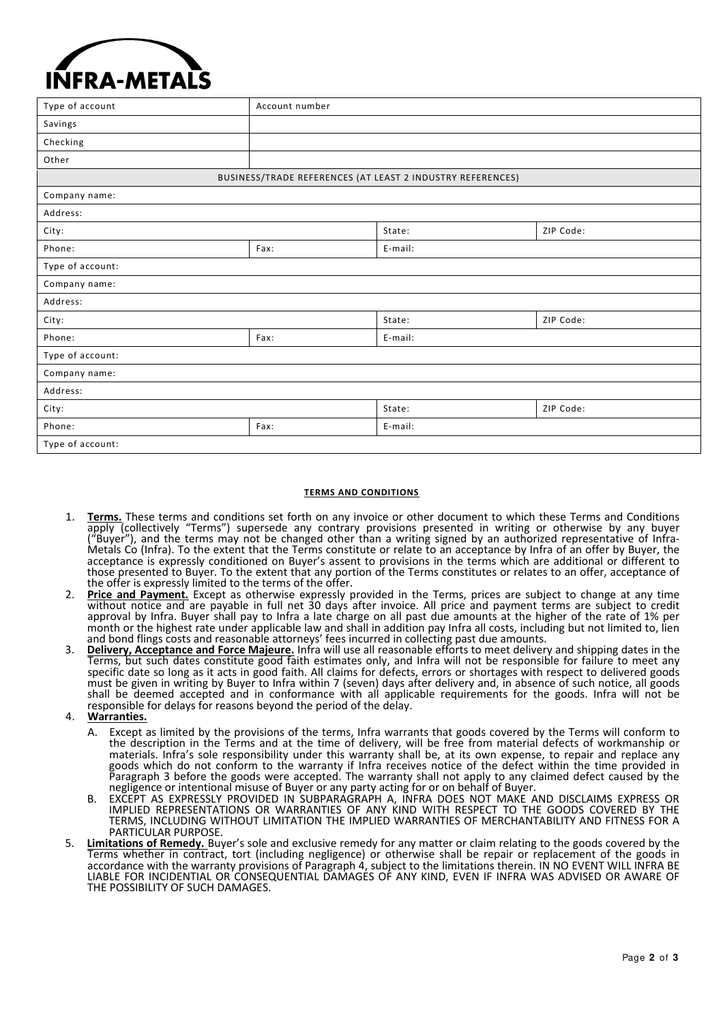

| Type of account                                            | Account number |         |           |  |  |  |  |
|------------------------------------------------------------|----------------|---------|-----------|--|--|--|--|
| Savings                                                    |                |         |           |  |  |  |  |
| Checking                                                   |                |         |           |  |  |  |  |
| Other                                                      |                |         |           |  |  |  |  |
| BUSINESS/TRADE REFERENCES (AT LEAST 2 INDUSTRY REFERENCES) |                |         |           |  |  |  |  |
| Company name:                                              |                |         |           |  |  |  |  |
| Address:                                                   |                |         |           |  |  |  |  |
| City:                                                      |                | State:  | ZIP Code: |  |  |  |  |
| Phone:                                                     | Fax:           | E-mail: |           |  |  |  |  |
| Type of account:                                           |                |         |           |  |  |  |  |
| Company name:                                              |                |         |           |  |  |  |  |
| Address:                                                   |                |         |           |  |  |  |  |
| City:                                                      |                | State:  | ZIP Code: |  |  |  |  |
| Phone:                                                     | Fax:           | E-mail: |           |  |  |  |  |
| Type of account:                                           |                |         |           |  |  |  |  |
| Company name:                                              |                |         |           |  |  |  |  |
| Address:                                                   |                |         |           |  |  |  |  |
| City:                                                      |                | State:  | ZIP Code: |  |  |  |  |
| Phone:                                                     | Fax:           | E-mail: |           |  |  |  |  |
| Type of account:                                           |                |         |           |  |  |  |  |

## **TERMS AND CONDITIONS**

- 1. **Terms.** These terms and conditions set forth on any invoice or other document to which these Terms and Conditions apply (collectively "Terms") supersede any contrary provisions presented in writing or otherwise by any buyer ("Buyer"), and the terms may not be changed other than a writing signed by an authorized representative of Infra‐ Metals Co (Infra). To the extent that the Terms constitute or relate to an acceptance by Infra of an offer by Buyer, the acceptance is expressly conditioned on Buyer's assent to provisions in the terms which are additional or different to those presented to Buyer. To the extent that any portion of the Terms constitutes or relates to an offer, acceptance of the offer is expressly limited to the terms of the offer.
- 2. **Price and Payment.** Except as otherwise expressly provided in the Terms, prices are subject to change at any time without notice and are payable in full net 30 days after invoice. All price and payment terms are subject to credit approval by Infra. Buyer shall pay to Infra a late charge on all past due amounts at the higher of the rate of 1% per month or the highest rate under applicable law and shall in addition pay Infra all costs, including but not limited to, lien and bond flings costs and reasonable attorneys' fees incurred in collecting past due amounts.
- 3. **Delivery, Acceptance and Force Majeure.** Infra will use all reasonable efforts to meet delivery and shipping dates in the Terms, but such dates constitute good faith estimates only, and Infra will not be responsible for failure to meet any specific date so long as it acts in good faith. All claims for defects, errors or shortages with respect to delivered goods must be given in writing by Buyer to Infra within 7 (seven) days after delivery and, in absence of such notice, all goods shall be deemed accepted and in conformance with all applicable requirements for the goods. Infra will not be responsible for delays for reasons beyond the period of the delay.
- 4. **Warranties.**
	- Except as limited by the provisions of the terms, Infra warrants that goods covered by the Terms will conform to the description in the Terms and at the time of delivery, will be free from material defects of workmanship or materials. Infra's sole responsibility under this warranty shall be, at its own expense, to repair and replace any goods which do not conform to the warranty if Infra receives notice of the defect within the time provided in Paragraph 3 before the goods were accepted. The warranty shall not apply to any claimed defect caused by the negligence or intentional misuse of Buyer or any party acting for or on behalf of Buyer.
	- B. EXČEPT AS EXPRESSLY PROVIDED IN SUBPARAGRAPH A, INFRA DOES NOT MAKE AND DISCLAIMS EXPRESS OR IMPLIED REPRESENTATIONS OR WARRANTIES OF ANY KIND WITH RESPECT TO THE GOODS COVERED BY THE TERMS, INCLUDING WITHOUT LIMITATION THE IMPLIED WARRANTIES OF MERCHANTABILITY AND FITNESS FOR A PARTICULAR PURPOSE.
- 5. **Limitations of Remedy.** Buyer's sole and exclusive remedy for any matter or claim relating to the goods covered by the Terms whether in contract, tort (including negligence) or otherwise shall be repair or replacement of the goods in accordance with the warranty provisions of Paragraph 4, subject to the limitations therein. IN NO EVENT WILL INFRA BE LIABLE FOR INCIDENTIAL OR CONSEQUENTIAL DAMAGES OF ANY KIND, EVEN IF INFRA WAS ADVISED OR AWARE OF THE POSSIBILITY OF SUCH DAMAGES.